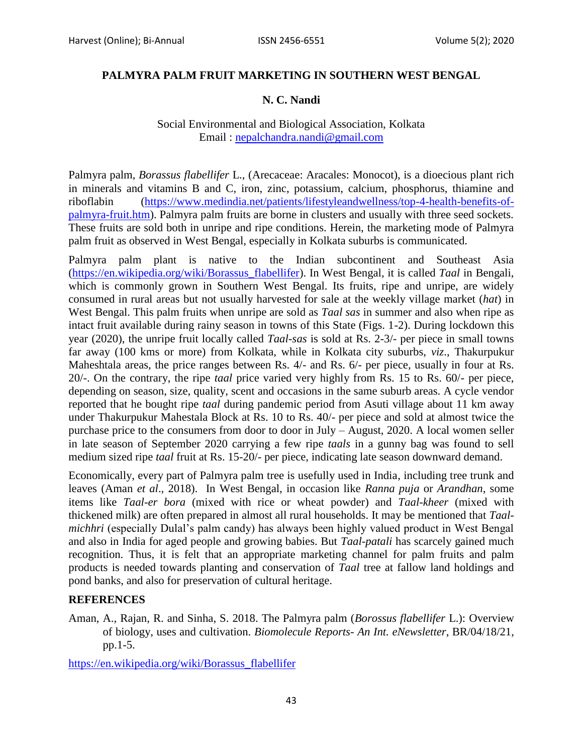## **PALMYRA PALM FRUIT MARKETING IN SOUTHERN WEST BENGAL**

## **N. C. Nandi**

## Social Environmental and Biological Association, Kolkata Email : [nepalchandra.nandi@gmail.com](mailto:nepalchandra.nandi@gmail.com)

Palmyra palm, *Borassus flabellifer* L., (Arecaceae: Aracales: Monocot), is a dioecious plant rich in minerals and vitamins B and C, iron, zinc, potassium, calcium, phosphorus, thiamine and riboflabin [\(https://www.medindia.net/patients/lifestyleandwellness/top-4-health-benefits-of](https://www.medindia.net/patients/lifestyleandwellness/top-4-health-benefits-of-palmyra-fruit.htm)[palmyra-fruit.htm\)](https://www.medindia.net/patients/lifestyleandwellness/top-4-health-benefits-of-palmyra-fruit.htm). Palmyra palm fruits are borne in clusters and usually with three seed sockets. These fruits are sold both in unripe and ripe conditions. Herein, the marketing mode of Palmyra palm fruit as observed in West Bengal, especially in Kolkata suburbs is communicated.

Palmyra palm plant is native to the Indian subcontinent and Southeast Asia [\(https://en.wikipedia.org/wiki/Borassus\\_flabellifer\)](https://en.wikipedia.org/wiki/Borassus_flabellifer). In West Bengal, it is called *Taal* in Bengali, which is commonly grown in Southern West Bengal. Its fruits, ripe and unripe, are widely consumed in rural areas but not usually harvested for sale at the weekly village market (*hat*) in West Bengal. This palm fruits when unripe are sold as *Taal sas* in summer and also when ripe as intact fruit available during rainy season in towns of this State (Figs. 1-2). During lockdown this year (2020), the unripe fruit locally called *Taal-sas* is sold at Rs. 2-3/- per piece in small towns far away (100 kms or more) from Kolkata, while in Kolkata city suburbs, *viz*., Thakurpukur Maheshtala areas, the price ranges between Rs. 4/- and Rs. 6/- per piece, usually in four at Rs. 20/-. On the contrary, the ripe *taal* price varied very highly from Rs. 15 to Rs. 60/- per piece, depending on season, size, quality, scent and occasions in the same suburb areas. A cycle vendor reported that he bought ripe *taal* during pandemic period from Asuti village about 11 km away under Thakurpukur Mahestala Block at Rs. 10 to Rs. 40/- per piece and sold at almost twice the purchase price to the consumers from door to door in July – August, 2020. A local women seller in late season of September 2020 carrying a few ripe *taals* in a gunny bag was found to sell medium sized ripe *taal* fruit at Rs. 15-20/- per piece, indicating late season downward demand.

Economically, every part of Palmyra palm tree is usefully used in India, including tree trunk and leaves (Aman *et al*., 2018). In West Bengal, in occasion like *Ranna puja* or *Arandhan*, some items like *Taal-er bora* (mixed with rice or wheat powder) and *Taal-kheer* (mixed with thickened milk) are often prepared in almost all rural households. It may be mentioned that *Taalmichhri* (especially Dulal's palm candy) has always been highly valued product in West Bengal and also in India for aged people and growing babies. But *Taal-patali* has scarcely gained much recognition. Thus, it is felt that an appropriate marketing channel for palm fruits and palm products is needed towards planting and conservation of *Taal* tree at fallow land holdings and pond banks, and also for preservation of cultural heritage.

## **REFERENCES**

Aman, A., Rajan, R. and Sinha, S. 2018. The Palmyra palm (*Borossus flabellifer* L.): Overview of biology, uses and cultivation. *Biomolecule Reports- An Int. eNewsletter*, BR/04/18/21, pp.1-5.

[https://en.wikipedia.org/wiki/Borassus\\_flabellifer](https://en.wikipedia.org/wiki/Borassus_flabellifer)